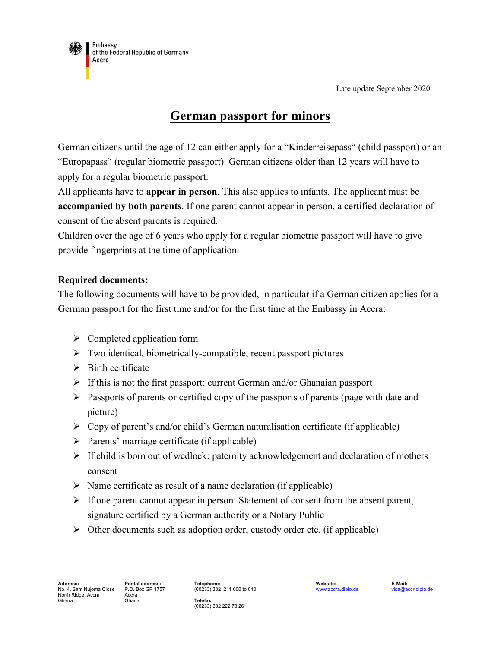Late update September 2020



# **German passport for minors**

German citizens until the age of 12 can either apply for a "Kinderreisepass" (child passport) or an "Europapass" (regular biometric passport). German citizens older than 12 years will have to apply for a regular biometric passport.

All applicants have to **appear in person**. This also applies to infants. The applicant must be **accompanied by both parents**. If one parent cannot appear in person, a certified declaration of consent of the absent parents is required.

Children over the age of 6 years who apply for a regular biometric passport will have to give provide fingerprints at the time of application.

### **Required documents:**

The following documents will have to be provided, in particular if a German citizen applies for a German passport for the first time and/or for the first time at the Embassy in Accra:

- $\triangleright$  Completed application form
- $\triangleright$  Two identical, biometrically-compatible, recent passport pictures
- $\triangleright$  Birth certificate
- $\triangleright$  If this is not the first passport: current German and/or Ghanaian passport
- $\triangleright$  Passports of parents or certified copy of the passports of parents (page with date and picture)
- $\triangleright$  Copy of parent's and/or child's German naturalisation certificate (if applicable)
- $\triangleright$  Parents' marriage certificate (if applicable)
- $\triangleright$  If child is born out of wedlock: paternity acknowledgement and declaration of mothers consent
- $\triangleright$  Name certificate as result of a name declaration (if applicable)
- $\triangleright$  If one parent cannot appear in person: Statement of consent from the absent parent, signature certified by a German authority or a Notary Public
- $\triangleright$  Other documents such as adoption order, custody order etc. (if applicable)